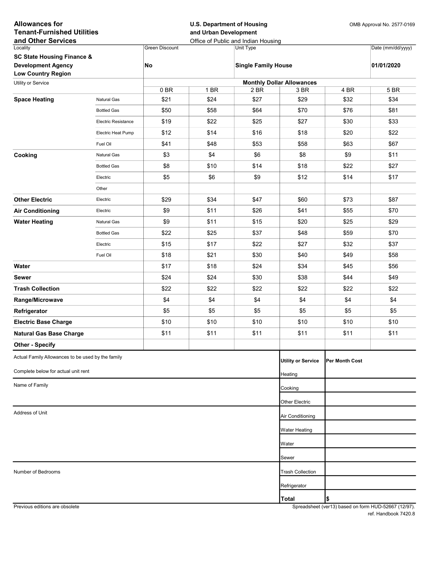| <b>Allowances for</b><br><b>Tenant-Furnished Utilities</b><br>and Other Services |                            | <b>U.S. Department of Housing</b><br>and Urban Development | Office of Public and Indian Housing | OMB Approval No. 2577-0169 |                                  |                |                   |  |
|----------------------------------------------------------------------------------|----------------------------|------------------------------------------------------------|-------------------------------------|----------------------------|----------------------------------|----------------|-------------------|--|
| Locality                                                                         |                            | <b>Green Discount</b>                                      |                                     | Unit Type                  |                                  |                | Date (mm/dd/yyyy) |  |
| <b>SC State Housing Finance &amp;</b>                                            |                            |                                                            |                                     |                            |                                  |                |                   |  |
| <b>Development Agency</b><br><b>Low Country Region</b>                           |                            | No                                                         |                                     | <b>Single Family House</b> |                                  |                | 01/01/2020        |  |
| Utility or Service                                                               |                            |                                                            |                                     |                            | <b>Monthly Dollar Allowances</b> |                |                   |  |
|                                                                                  |                            | 0BR                                                        | 1 BR                                | 2 BR                       | 3 BR                             | 4 BR           | 5 BR              |  |
| <b>Space Heating</b>                                                             | Natural Gas                | \$21                                                       | \$24                                | \$27                       | \$29                             | \$32           | \$34              |  |
|                                                                                  | <b>Bottled Gas</b>         | \$50                                                       | \$58                                | \$64                       | \$70                             | \$76           | \$81              |  |
|                                                                                  | <b>Electric Resistance</b> | \$19                                                       | \$22                                | \$25                       | \$27                             | \$30           | \$33              |  |
|                                                                                  | Electric Heat Pump         | \$12                                                       | \$14                                | \$16                       | \$18                             | \$20           | \$22              |  |
|                                                                                  | Fuel Oil                   | \$41                                                       | \$48                                | \$53                       | \$58                             | \$63           | \$67              |  |
| Cooking                                                                          | Natural Gas                | \$3                                                        | \$4                                 | \$6                        | \$8                              | \$9            | \$11              |  |
|                                                                                  | <b>Bottled Gas</b>         | \$8                                                        | \$10                                | \$14                       | \$18                             | \$22           | \$27              |  |
|                                                                                  | Electric                   | \$5                                                        | \$6                                 | \$9                        | \$12                             | \$14           | \$17              |  |
|                                                                                  | Other                      |                                                            |                                     |                            |                                  |                |                   |  |
| <b>Other Electric</b>                                                            | Electric                   | \$29                                                       | \$34                                | \$47                       | \$60                             | \$73           | \$87              |  |
| <b>Air Conditioning</b>                                                          | Electric                   | \$9                                                        | \$11                                | \$26                       | \$41                             | \$55           | \$70              |  |
| <b>Water Heating</b>                                                             | Natural Gas                | \$9                                                        | \$11                                | \$15                       | \$20                             | \$25           | \$29              |  |
|                                                                                  | <b>Bottled Gas</b>         | \$22                                                       | \$25                                | \$37                       | \$48                             | \$59           | \$70              |  |
|                                                                                  | Electric                   | \$15                                                       | \$17                                | \$22                       | \$27                             | \$32           | \$37              |  |
|                                                                                  | Fuel Oil                   | \$18                                                       | \$21                                | \$30                       | \$40                             | \$49           | \$58              |  |
| Water                                                                            |                            | \$17                                                       | \$18                                | \$24                       | \$34                             | \$45           | \$56              |  |
| Sewer                                                                            |                            | \$24                                                       | \$24                                | \$30                       | \$38                             | \$44           | \$49              |  |
| <b>Trash Collection</b>                                                          |                            | \$22                                                       | \$22                                | \$22                       | \$22                             | \$22           | \$22              |  |
| Range/Microwave                                                                  |                            | \$4                                                        | \$4                                 | \$4                        | \$4                              | \$4            | \$4               |  |
| Refrigerator                                                                     |                            | \$5                                                        | \$5                                 | \$5                        | \$5                              | \$5            | \$5               |  |
| <b>Electric Base Charge</b>                                                      |                            | \$10                                                       | \$10                                | \$10                       | \$10                             | \$10           | \$10              |  |
| <b>Natural Gas Base Charge</b>                                                   |                            | \$11                                                       | \$11                                | \$11                       | \$11                             | \$11           | \$11              |  |
| <b>Other - Specify</b>                                                           |                            |                                                            |                                     |                            |                                  |                |                   |  |
| Actual Family Allowances to be used by the family                                |                            |                                                            |                                     |                            | <b>Utility or Service</b>        | Per Month Cost |                   |  |
| Complete below for actual unit rent                                              |                            |                                                            |                                     |                            | Heating                          |                |                   |  |
| Name of Family                                                                   |                            |                                                            |                                     |                            | Cooking                          |                |                   |  |
|                                                                                  |                            |                                                            |                                     |                            |                                  |                |                   |  |
| Address of Unit                                                                  |                            |                                                            |                                     |                            | Other Electric                   |                |                   |  |
|                                                                                  |                            |                                                            |                                     |                            | Air Conditioning                 |                |                   |  |
|                                                                                  |                            |                                                            |                                     |                            | Water Heating                    |                |                   |  |
|                                                                                  |                            |                                                            |                                     |                            | Water                            |                |                   |  |
|                                                                                  |                            |                                                            |                                     |                            | Sewer                            |                |                   |  |
| Number of Bedrooms                                                               |                            |                                                            |                                     |                            | <b>Trash Collection</b>          |                |                   |  |
|                                                                                  |                            |                                                            |                                     |                            | Refrigerator                     |                |                   |  |
|                                                                                  |                            |                                                            |                                     |                            | <b>Total</b>                     | \$             |                   |  |

Previous editions are obsolete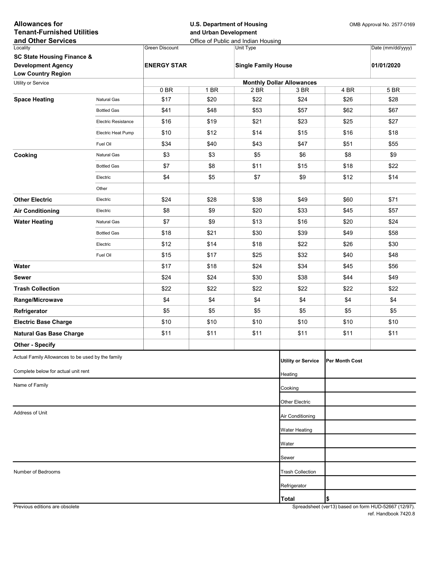| Locality<br>Date (mm/dd/yyyy)<br>Green Discount<br>Unit Type<br><b>SC State Housing Finance &amp;</b><br><b>Development Agency</b><br><b>ENERGY STAR</b><br><b>Single Family House</b><br>01/01/2020<br><b>Low Country Region</b><br><b>Monthly Dollar Allowances</b><br>Utility or Service<br>1 BR<br>4 BR<br>5 BR<br>0 BR<br>2 BR<br>3 BR<br>\$20<br>\$22<br>\$17<br>\$24<br>\$26<br>\$28<br><b>Space Heating</b><br><b>Natural Gas</b><br>\$41<br>\$48<br>\$53<br>\$57<br>\$62<br>\$67<br><b>Bottled Gas</b><br>\$16<br>\$19<br>\$21<br>\$23<br>\$25<br>\$27<br><b>Electric Resistance</b><br>\$12<br>\$10<br>\$14<br>\$15<br>\$16<br>\$18<br>Electric Heat Pump<br>\$34<br>\$40<br>\$43<br>\$51<br>\$55<br>\$47<br>Fuel Oil<br>\$3<br>\$3<br>\$5<br>\$6<br>\$8<br>\$9<br>Cooking<br>Natural Gas<br>\$7<br>\$8<br>\$11<br>\$15<br>\$18<br>\$22<br><b>Bottled Gas</b><br>\$4<br>\$5<br>\$7<br>\$9<br>\$12<br>\$14<br>Electric<br>Other<br>\$71<br><b>Other Electric</b><br>\$24<br>\$28<br>\$38<br>\$49<br>\$60<br>Electric<br>\$9<br>\$8<br>\$20<br>\$33<br>\$45<br>\$57<br><b>Air Conditioning</b><br>Electric<br>\$7<br>\$9<br>\$13<br>\$16<br>\$20<br>\$24<br><b>Water Heating</b><br><b>Natural Gas</b><br>\$18<br>\$21<br>\$30<br>\$39<br>\$49<br>\$58<br><b>Bottled Gas</b><br>\$12<br>\$14<br>\$18<br>\$22<br>\$26<br>\$30<br>Electric<br>\$15<br>\$17<br>\$25<br>\$32<br>\$40<br>\$48<br>Fuel Oil<br>\$17<br>\$18<br>\$24<br>\$34<br>\$56<br>Water<br>\$45<br>\$24<br>\$24<br>\$30<br>\$38<br>\$44<br>\$49<br><b>Sewer</b><br>\$22<br>\$22<br>\$22<br>\$22<br>\$22<br>\$22<br><b>Trash Collection</b><br>\$4<br>\$4<br>\$4<br>\$4<br>\$4<br>\$4<br>Range/Microwave<br>\$5<br>\$5<br>\$5<br>\$5<br>\$5<br>\$5<br>Refrigerator<br>\$10<br>\$10<br>\$10<br>\$10<br>\$10<br>\$10<br><b>Electric Base Charge</b><br>\$11<br>\$11<br>\$11<br>\$11<br>\$11<br>\$11<br><b>Natural Gas Base Charge</b><br><b>Other - Specify</b><br>Actual Family Allowances to be used by the family<br><b>Utility or Service</b><br>Per Month Cost<br>Complete below for actual unit rent<br>Heating<br>Name of Family<br>Cooking<br>Other Electric<br>Address of Unit<br>Air Conditioning<br><b>Water Heating</b><br>Water<br>Sewer<br>Number of Bedrooms<br><b>Trash Collection</b><br>Refrigerator<br> \$<br><b>Total</b> | <b>Allowances for</b><br><b>Tenant-Furnished Utilities</b><br>and Other Services |  |  | and Urban Development | <b>U.S. Department of Housing</b><br>Office of Public and Indian Housing | OMB Approval No. 2577-0169 |  |  |
|------------------------------------------------------------------------------------------------------------------------------------------------------------------------------------------------------------------------------------------------------------------------------------------------------------------------------------------------------------------------------------------------------------------------------------------------------------------------------------------------------------------------------------------------------------------------------------------------------------------------------------------------------------------------------------------------------------------------------------------------------------------------------------------------------------------------------------------------------------------------------------------------------------------------------------------------------------------------------------------------------------------------------------------------------------------------------------------------------------------------------------------------------------------------------------------------------------------------------------------------------------------------------------------------------------------------------------------------------------------------------------------------------------------------------------------------------------------------------------------------------------------------------------------------------------------------------------------------------------------------------------------------------------------------------------------------------------------------------------------------------------------------------------------------------------------------------------------------------------------------------------------------------------------------------------------------------------------------------------------------------------------------------------------------------------------------------------------------------------------------------------------------------------------------------------------------------------------------------------------------------------------------------------------------------------------|----------------------------------------------------------------------------------|--|--|-----------------------|--------------------------------------------------------------------------|----------------------------|--|--|
|                                                                                                                                                                                                                                                                                                                                                                                                                                                                                                                                                                                                                                                                                                                                                                                                                                                                                                                                                                                                                                                                                                                                                                                                                                                                                                                                                                                                                                                                                                                                                                                                                                                                                                                                                                                                                                                                                                                                                                                                                                                                                                                                                                                                                                                                                                                  |                                                                                  |  |  |                       |                                                                          |                            |  |  |
|                                                                                                                                                                                                                                                                                                                                                                                                                                                                                                                                                                                                                                                                                                                                                                                                                                                                                                                                                                                                                                                                                                                                                                                                                                                                                                                                                                                                                                                                                                                                                                                                                                                                                                                                                                                                                                                                                                                                                                                                                                                                                                                                                                                                                                                                                                                  |                                                                                  |  |  |                       |                                                                          |                            |  |  |
|                                                                                                                                                                                                                                                                                                                                                                                                                                                                                                                                                                                                                                                                                                                                                                                                                                                                                                                                                                                                                                                                                                                                                                                                                                                                                                                                                                                                                                                                                                                                                                                                                                                                                                                                                                                                                                                                                                                                                                                                                                                                                                                                                                                                                                                                                                                  |                                                                                  |  |  |                       |                                                                          |                            |  |  |
|                                                                                                                                                                                                                                                                                                                                                                                                                                                                                                                                                                                                                                                                                                                                                                                                                                                                                                                                                                                                                                                                                                                                                                                                                                                                                                                                                                                                                                                                                                                                                                                                                                                                                                                                                                                                                                                                                                                                                                                                                                                                                                                                                                                                                                                                                                                  |                                                                                  |  |  |                       |                                                                          |                            |  |  |
|                                                                                                                                                                                                                                                                                                                                                                                                                                                                                                                                                                                                                                                                                                                                                                                                                                                                                                                                                                                                                                                                                                                                                                                                                                                                                                                                                                                                                                                                                                                                                                                                                                                                                                                                                                                                                                                                                                                                                                                                                                                                                                                                                                                                                                                                                                                  |                                                                                  |  |  |                       |                                                                          |                            |  |  |
|                                                                                                                                                                                                                                                                                                                                                                                                                                                                                                                                                                                                                                                                                                                                                                                                                                                                                                                                                                                                                                                                                                                                                                                                                                                                                                                                                                                                                                                                                                                                                                                                                                                                                                                                                                                                                                                                                                                                                                                                                                                                                                                                                                                                                                                                                                                  |                                                                                  |  |  |                       |                                                                          |                            |  |  |
|                                                                                                                                                                                                                                                                                                                                                                                                                                                                                                                                                                                                                                                                                                                                                                                                                                                                                                                                                                                                                                                                                                                                                                                                                                                                                                                                                                                                                                                                                                                                                                                                                                                                                                                                                                                                                                                                                                                                                                                                                                                                                                                                                                                                                                                                                                                  |                                                                                  |  |  |                       |                                                                          |                            |  |  |
|                                                                                                                                                                                                                                                                                                                                                                                                                                                                                                                                                                                                                                                                                                                                                                                                                                                                                                                                                                                                                                                                                                                                                                                                                                                                                                                                                                                                                                                                                                                                                                                                                                                                                                                                                                                                                                                                                                                                                                                                                                                                                                                                                                                                                                                                                                                  |                                                                                  |  |  |                       |                                                                          |                            |  |  |
|                                                                                                                                                                                                                                                                                                                                                                                                                                                                                                                                                                                                                                                                                                                                                                                                                                                                                                                                                                                                                                                                                                                                                                                                                                                                                                                                                                                                                                                                                                                                                                                                                                                                                                                                                                                                                                                                                                                                                                                                                                                                                                                                                                                                                                                                                                                  |                                                                                  |  |  |                       |                                                                          |                            |  |  |
|                                                                                                                                                                                                                                                                                                                                                                                                                                                                                                                                                                                                                                                                                                                                                                                                                                                                                                                                                                                                                                                                                                                                                                                                                                                                                                                                                                                                                                                                                                                                                                                                                                                                                                                                                                                                                                                                                                                                                                                                                                                                                                                                                                                                                                                                                                                  |                                                                                  |  |  |                       |                                                                          |                            |  |  |
|                                                                                                                                                                                                                                                                                                                                                                                                                                                                                                                                                                                                                                                                                                                                                                                                                                                                                                                                                                                                                                                                                                                                                                                                                                                                                                                                                                                                                                                                                                                                                                                                                                                                                                                                                                                                                                                                                                                                                                                                                                                                                                                                                                                                                                                                                                                  |                                                                                  |  |  |                       |                                                                          |                            |  |  |
|                                                                                                                                                                                                                                                                                                                                                                                                                                                                                                                                                                                                                                                                                                                                                                                                                                                                                                                                                                                                                                                                                                                                                                                                                                                                                                                                                                                                                                                                                                                                                                                                                                                                                                                                                                                                                                                                                                                                                                                                                                                                                                                                                                                                                                                                                                                  |                                                                                  |  |  |                       |                                                                          |                            |  |  |
|                                                                                                                                                                                                                                                                                                                                                                                                                                                                                                                                                                                                                                                                                                                                                                                                                                                                                                                                                                                                                                                                                                                                                                                                                                                                                                                                                                                                                                                                                                                                                                                                                                                                                                                                                                                                                                                                                                                                                                                                                                                                                                                                                                                                                                                                                                                  |                                                                                  |  |  |                       |                                                                          |                            |  |  |
|                                                                                                                                                                                                                                                                                                                                                                                                                                                                                                                                                                                                                                                                                                                                                                                                                                                                                                                                                                                                                                                                                                                                                                                                                                                                                                                                                                                                                                                                                                                                                                                                                                                                                                                                                                                                                                                                                                                                                                                                                                                                                                                                                                                                                                                                                                                  |                                                                                  |  |  |                       |                                                                          |                            |  |  |
|                                                                                                                                                                                                                                                                                                                                                                                                                                                                                                                                                                                                                                                                                                                                                                                                                                                                                                                                                                                                                                                                                                                                                                                                                                                                                                                                                                                                                                                                                                                                                                                                                                                                                                                                                                                                                                                                                                                                                                                                                                                                                                                                                                                                                                                                                                                  |                                                                                  |  |  |                       |                                                                          |                            |  |  |
|                                                                                                                                                                                                                                                                                                                                                                                                                                                                                                                                                                                                                                                                                                                                                                                                                                                                                                                                                                                                                                                                                                                                                                                                                                                                                                                                                                                                                                                                                                                                                                                                                                                                                                                                                                                                                                                                                                                                                                                                                                                                                                                                                                                                                                                                                                                  |                                                                                  |  |  |                       |                                                                          |                            |  |  |
|                                                                                                                                                                                                                                                                                                                                                                                                                                                                                                                                                                                                                                                                                                                                                                                                                                                                                                                                                                                                                                                                                                                                                                                                                                                                                                                                                                                                                                                                                                                                                                                                                                                                                                                                                                                                                                                                                                                                                                                                                                                                                                                                                                                                                                                                                                                  |                                                                                  |  |  |                       |                                                                          |                            |  |  |
|                                                                                                                                                                                                                                                                                                                                                                                                                                                                                                                                                                                                                                                                                                                                                                                                                                                                                                                                                                                                                                                                                                                                                                                                                                                                                                                                                                                                                                                                                                                                                                                                                                                                                                                                                                                                                                                                                                                                                                                                                                                                                                                                                                                                                                                                                                                  |                                                                                  |  |  |                       |                                                                          |                            |  |  |
|                                                                                                                                                                                                                                                                                                                                                                                                                                                                                                                                                                                                                                                                                                                                                                                                                                                                                                                                                                                                                                                                                                                                                                                                                                                                                                                                                                                                                                                                                                                                                                                                                                                                                                                                                                                                                                                                                                                                                                                                                                                                                                                                                                                                                                                                                                                  |                                                                                  |  |  |                       |                                                                          |                            |  |  |
|                                                                                                                                                                                                                                                                                                                                                                                                                                                                                                                                                                                                                                                                                                                                                                                                                                                                                                                                                                                                                                                                                                                                                                                                                                                                                                                                                                                                                                                                                                                                                                                                                                                                                                                                                                                                                                                                                                                                                                                                                                                                                                                                                                                                                                                                                                                  |                                                                                  |  |  |                       |                                                                          |                            |  |  |
|                                                                                                                                                                                                                                                                                                                                                                                                                                                                                                                                                                                                                                                                                                                                                                                                                                                                                                                                                                                                                                                                                                                                                                                                                                                                                                                                                                                                                                                                                                                                                                                                                                                                                                                                                                                                                                                                                                                                                                                                                                                                                                                                                                                                                                                                                                                  |                                                                                  |  |  |                       |                                                                          |                            |  |  |
|                                                                                                                                                                                                                                                                                                                                                                                                                                                                                                                                                                                                                                                                                                                                                                                                                                                                                                                                                                                                                                                                                                                                                                                                                                                                                                                                                                                                                                                                                                                                                                                                                                                                                                                                                                                                                                                                                                                                                                                                                                                                                                                                                                                                                                                                                                                  |                                                                                  |  |  |                       |                                                                          |                            |  |  |
|                                                                                                                                                                                                                                                                                                                                                                                                                                                                                                                                                                                                                                                                                                                                                                                                                                                                                                                                                                                                                                                                                                                                                                                                                                                                                                                                                                                                                                                                                                                                                                                                                                                                                                                                                                                                                                                                                                                                                                                                                                                                                                                                                                                                                                                                                                                  |                                                                                  |  |  |                       |                                                                          |                            |  |  |
|                                                                                                                                                                                                                                                                                                                                                                                                                                                                                                                                                                                                                                                                                                                                                                                                                                                                                                                                                                                                                                                                                                                                                                                                                                                                                                                                                                                                                                                                                                                                                                                                                                                                                                                                                                                                                                                                                                                                                                                                                                                                                                                                                                                                                                                                                                                  |                                                                                  |  |  |                       |                                                                          |                            |  |  |
|                                                                                                                                                                                                                                                                                                                                                                                                                                                                                                                                                                                                                                                                                                                                                                                                                                                                                                                                                                                                                                                                                                                                                                                                                                                                                                                                                                                                                                                                                                                                                                                                                                                                                                                                                                                                                                                                                                                                                                                                                                                                                                                                                                                                                                                                                                                  |                                                                                  |  |  |                       |                                                                          |                            |  |  |
|                                                                                                                                                                                                                                                                                                                                                                                                                                                                                                                                                                                                                                                                                                                                                                                                                                                                                                                                                                                                                                                                                                                                                                                                                                                                                                                                                                                                                                                                                                                                                                                                                                                                                                                                                                                                                                                                                                                                                                                                                                                                                                                                                                                                                                                                                                                  |                                                                                  |  |  |                       |                                                                          |                            |  |  |
|                                                                                                                                                                                                                                                                                                                                                                                                                                                                                                                                                                                                                                                                                                                                                                                                                                                                                                                                                                                                                                                                                                                                                                                                                                                                                                                                                                                                                                                                                                                                                                                                                                                                                                                                                                                                                                                                                                                                                                                                                                                                                                                                                                                                                                                                                                                  |                                                                                  |  |  |                       |                                                                          |                            |  |  |
|                                                                                                                                                                                                                                                                                                                                                                                                                                                                                                                                                                                                                                                                                                                                                                                                                                                                                                                                                                                                                                                                                                                                                                                                                                                                                                                                                                                                                                                                                                                                                                                                                                                                                                                                                                                                                                                                                                                                                                                                                                                                                                                                                                                                                                                                                                                  |                                                                                  |  |  |                       |                                                                          |                            |  |  |
|                                                                                                                                                                                                                                                                                                                                                                                                                                                                                                                                                                                                                                                                                                                                                                                                                                                                                                                                                                                                                                                                                                                                                                                                                                                                                                                                                                                                                                                                                                                                                                                                                                                                                                                                                                                                                                                                                                                                                                                                                                                                                                                                                                                                                                                                                                                  |                                                                                  |  |  |                       |                                                                          |                            |  |  |
|                                                                                                                                                                                                                                                                                                                                                                                                                                                                                                                                                                                                                                                                                                                                                                                                                                                                                                                                                                                                                                                                                                                                                                                                                                                                                                                                                                                                                                                                                                                                                                                                                                                                                                                                                                                                                                                                                                                                                                                                                                                                                                                                                                                                                                                                                                                  |                                                                                  |  |  |                       |                                                                          |                            |  |  |
|                                                                                                                                                                                                                                                                                                                                                                                                                                                                                                                                                                                                                                                                                                                                                                                                                                                                                                                                                                                                                                                                                                                                                                                                                                                                                                                                                                                                                                                                                                                                                                                                                                                                                                                                                                                                                                                                                                                                                                                                                                                                                                                                                                                                                                                                                                                  |                                                                                  |  |  |                       |                                                                          |                            |  |  |
|                                                                                                                                                                                                                                                                                                                                                                                                                                                                                                                                                                                                                                                                                                                                                                                                                                                                                                                                                                                                                                                                                                                                                                                                                                                                                                                                                                                                                                                                                                                                                                                                                                                                                                                                                                                                                                                                                                                                                                                                                                                                                                                                                                                                                                                                                                                  |                                                                                  |  |  |                       |                                                                          |                            |  |  |
|                                                                                                                                                                                                                                                                                                                                                                                                                                                                                                                                                                                                                                                                                                                                                                                                                                                                                                                                                                                                                                                                                                                                                                                                                                                                                                                                                                                                                                                                                                                                                                                                                                                                                                                                                                                                                                                                                                                                                                                                                                                                                                                                                                                                                                                                                                                  |                                                                                  |  |  |                       |                                                                          |                            |  |  |
|                                                                                                                                                                                                                                                                                                                                                                                                                                                                                                                                                                                                                                                                                                                                                                                                                                                                                                                                                                                                                                                                                                                                                                                                                                                                                                                                                                                                                                                                                                                                                                                                                                                                                                                                                                                                                                                                                                                                                                                                                                                                                                                                                                                                                                                                                                                  |                                                                                  |  |  |                       |                                                                          |                            |  |  |
|                                                                                                                                                                                                                                                                                                                                                                                                                                                                                                                                                                                                                                                                                                                                                                                                                                                                                                                                                                                                                                                                                                                                                                                                                                                                                                                                                                                                                                                                                                                                                                                                                                                                                                                                                                                                                                                                                                                                                                                                                                                                                                                                                                                                                                                                                                                  |                                                                                  |  |  |                       |                                                                          |                            |  |  |
|                                                                                                                                                                                                                                                                                                                                                                                                                                                                                                                                                                                                                                                                                                                                                                                                                                                                                                                                                                                                                                                                                                                                                                                                                                                                                                                                                                                                                                                                                                                                                                                                                                                                                                                                                                                                                                                                                                                                                                                                                                                                                                                                                                                                                                                                                                                  |                                                                                  |  |  |                       |                                                                          |                            |  |  |
|                                                                                                                                                                                                                                                                                                                                                                                                                                                                                                                                                                                                                                                                                                                                                                                                                                                                                                                                                                                                                                                                                                                                                                                                                                                                                                                                                                                                                                                                                                                                                                                                                                                                                                                                                                                                                                                                                                                                                                                                                                                                                                                                                                                                                                                                                                                  |                                                                                  |  |  |                       |                                                                          |                            |  |  |
|                                                                                                                                                                                                                                                                                                                                                                                                                                                                                                                                                                                                                                                                                                                                                                                                                                                                                                                                                                                                                                                                                                                                                                                                                                                                                                                                                                                                                                                                                                                                                                                                                                                                                                                                                                                                                                                                                                                                                                                                                                                                                                                                                                                                                                                                                                                  |                                                                                  |  |  |                       |                                                                          |                            |  |  |
|                                                                                                                                                                                                                                                                                                                                                                                                                                                                                                                                                                                                                                                                                                                                                                                                                                                                                                                                                                                                                                                                                                                                                                                                                                                                                                                                                                                                                                                                                                                                                                                                                                                                                                                                                                                                                                                                                                                                                                                                                                                                                                                                                                                                                                                                                                                  |                                                                                  |  |  |                       |                                                                          |                            |  |  |
|                                                                                                                                                                                                                                                                                                                                                                                                                                                                                                                                                                                                                                                                                                                                                                                                                                                                                                                                                                                                                                                                                                                                                                                                                                                                                                                                                                                                                                                                                                                                                                                                                                                                                                                                                                                                                                                                                                                                                                                                                                                                                                                                                                                                                                                                                                                  |                                                                                  |  |  |                       |                                                                          |                            |  |  |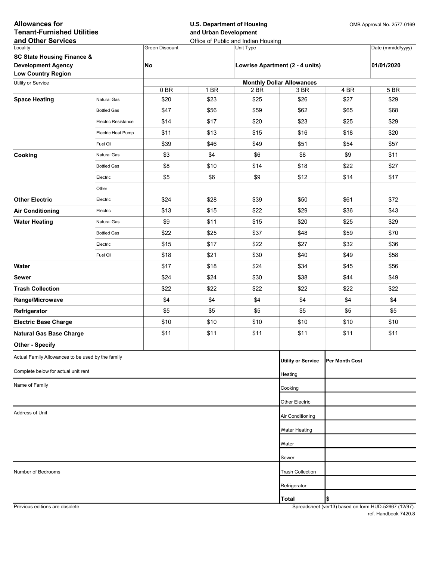| and Other Services<br>Office of Public and Indian Housing<br><b>Green Discount</b><br>Date (mm/dd/yyyy)<br>Locality<br>Unit Type<br><b>SC State Housing Finance &amp;</b><br><b>Development Agency</b><br>No<br>Lowrise Apartment (2 - 4 units)<br>01/01/2020<br><b>Low Country Region</b><br><b>Monthly Dollar Allowances</b><br>Utility or Service<br>1 BR<br>5 BR<br>0 BR<br>2 BR<br>3 BR<br>4 BR<br>\$23<br>\$25<br>\$20<br>\$26<br>\$27<br>\$29<br><b>Space Heating</b><br>Natural Gas<br>\$47<br>\$56<br>\$59<br>\$62<br>\$65<br>\$68<br><b>Bottled Gas</b><br>\$14<br>\$17<br>\$20<br>\$23<br>\$29<br><b>Electric Resistance</b><br>\$25<br>\$11<br>\$13<br>\$15<br>\$16<br>\$18<br>\$20<br>Electric Heat Pump<br>\$39<br>\$46<br>\$49<br>\$51<br>\$54<br>\$57<br>Fuel Oil<br>\$4<br>\$3<br>Cooking<br>\$6<br>\$8<br>\$9<br>\$11<br>Natural Gas<br>\$8<br>\$14<br>\$18<br>\$10<br>\$22<br>\$27<br><b>Bottled Gas</b><br>\$6<br>\$5<br>\$9<br>\$12<br>\$14<br>\$17<br>Electric<br>Other<br><b>Other Electric</b><br>\$24<br>\$28<br>\$39<br>\$50<br>\$72<br>Electric<br>\$61<br>\$13<br>\$15<br>\$22<br>\$29<br>\$36<br>\$43<br><b>Air Conditioning</b><br>Electric<br>\$9<br>\$11<br>\$15<br>\$20<br>\$25<br>\$29<br><b>Water Heating</b><br>Natural Gas<br>\$22<br>\$25<br>\$37<br>\$48<br>\$59<br>\$70<br><b>Bottled Gas</b><br>\$17<br>\$22<br>\$32<br>Electric<br>\$15<br>\$27<br>\$36<br>Fuel Oil<br>\$18<br>\$21<br>\$30<br>\$40<br>\$49<br>\$58<br>\$18<br>\$24<br>\$34<br>\$56<br>Water<br>\$17<br>\$45<br>\$24<br>\$24<br>\$30<br>\$38<br>\$44<br>\$49<br><b>Sewer</b><br>\$22<br>\$22<br>\$22<br>\$22<br>\$22<br>\$22<br><b>Trash Collection</b><br>\$4<br>\$4<br>\$4<br>\$4<br>\$4<br>\$4<br>Range/Microwave<br>\$5<br>\$5<br>\$5<br>\$5<br>\$5<br>\$5<br>Refrigerator<br>\$10<br>\$10<br>\$10<br>\$10<br>\$10<br>\$10<br><b>Electric Base Charge</b><br>\$11<br>\$11<br>\$11<br>\$11<br>\$11<br>\$11<br><b>Natural Gas Base Charge</b><br><b>Other - Specify</b><br>Actual Family Allowances to be used by the family<br><b>Utility or Service</b><br>Per Month Cost<br>Complete below for actual unit rent<br>Heating<br>Name of Family<br>Cooking<br>Other Electric<br>Address of Unit<br>Air Conditioning<br>Water Heating<br>Water<br>Sewer<br>Number of Bedrooms<br><b>Trash Collection</b><br>Refrigerator<br> \$<br><b>Total</b> | <b>Allowances for</b><br><b>Tenant-Furnished Utilities</b> |  | <b>U.S. Department of Housing</b><br>and Urban Development |  |  |  | OMB Approval No. 2577-0169 |  |
|------------------------------------------------------------------------------------------------------------------------------------------------------------------------------------------------------------------------------------------------------------------------------------------------------------------------------------------------------------------------------------------------------------------------------------------------------------------------------------------------------------------------------------------------------------------------------------------------------------------------------------------------------------------------------------------------------------------------------------------------------------------------------------------------------------------------------------------------------------------------------------------------------------------------------------------------------------------------------------------------------------------------------------------------------------------------------------------------------------------------------------------------------------------------------------------------------------------------------------------------------------------------------------------------------------------------------------------------------------------------------------------------------------------------------------------------------------------------------------------------------------------------------------------------------------------------------------------------------------------------------------------------------------------------------------------------------------------------------------------------------------------------------------------------------------------------------------------------------------------------------------------------------------------------------------------------------------------------------------------------------------------------------------------------------------------------------------------------------------------------------------------------------------------------------------------------------------------------------------------------------------------------------------------------------------------------------------------------------------|------------------------------------------------------------|--|------------------------------------------------------------|--|--|--|----------------------------|--|
|                                                                                                                                                                                                                                                                                                                                                                                                                                                                                                                                                                                                                                                                                                                                                                                                                                                                                                                                                                                                                                                                                                                                                                                                                                                                                                                                                                                                                                                                                                                                                                                                                                                                                                                                                                                                                                                                                                                                                                                                                                                                                                                                                                                                                                                                                                                                                            |                                                            |  |                                                            |  |  |  |                            |  |
|                                                                                                                                                                                                                                                                                                                                                                                                                                                                                                                                                                                                                                                                                                                                                                                                                                                                                                                                                                                                                                                                                                                                                                                                                                                                                                                                                                                                                                                                                                                                                                                                                                                                                                                                                                                                                                                                                                                                                                                                                                                                                                                                                                                                                                                                                                                                                            |                                                            |  |                                                            |  |  |  |                            |  |
|                                                                                                                                                                                                                                                                                                                                                                                                                                                                                                                                                                                                                                                                                                                                                                                                                                                                                                                                                                                                                                                                                                                                                                                                                                                                                                                                                                                                                                                                                                                                                                                                                                                                                                                                                                                                                                                                                                                                                                                                                                                                                                                                                                                                                                                                                                                                                            |                                                            |  |                                                            |  |  |  |                            |  |
|                                                                                                                                                                                                                                                                                                                                                                                                                                                                                                                                                                                                                                                                                                                                                                                                                                                                                                                                                                                                                                                                                                                                                                                                                                                                                                                                                                                                                                                                                                                                                                                                                                                                                                                                                                                                                                                                                                                                                                                                                                                                                                                                                                                                                                                                                                                                                            |                                                            |  |                                                            |  |  |  |                            |  |
|                                                                                                                                                                                                                                                                                                                                                                                                                                                                                                                                                                                                                                                                                                                                                                                                                                                                                                                                                                                                                                                                                                                                                                                                                                                                                                                                                                                                                                                                                                                                                                                                                                                                                                                                                                                                                                                                                                                                                                                                                                                                                                                                                                                                                                                                                                                                                            |                                                            |  |                                                            |  |  |  |                            |  |
|                                                                                                                                                                                                                                                                                                                                                                                                                                                                                                                                                                                                                                                                                                                                                                                                                                                                                                                                                                                                                                                                                                                                                                                                                                                                                                                                                                                                                                                                                                                                                                                                                                                                                                                                                                                                                                                                                                                                                                                                                                                                                                                                                                                                                                                                                                                                                            |                                                            |  |                                                            |  |  |  |                            |  |
|                                                                                                                                                                                                                                                                                                                                                                                                                                                                                                                                                                                                                                                                                                                                                                                                                                                                                                                                                                                                                                                                                                                                                                                                                                                                                                                                                                                                                                                                                                                                                                                                                                                                                                                                                                                                                                                                                                                                                                                                                                                                                                                                                                                                                                                                                                                                                            |                                                            |  |                                                            |  |  |  |                            |  |
|                                                                                                                                                                                                                                                                                                                                                                                                                                                                                                                                                                                                                                                                                                                                                                                                                                                                                                                                                                                                                                                                                                                                                                                                                                                                                                                                                                                                                                                                                                                                                                                                                                                                                                                                                                                                                                                                                                                                                                                                                                                                                                                                                                                                                                                                                                                                                            |                                                            |  |                                                            |  |  |  |                            |  |
|                                                                                                                                                                                                                                                                                                                                                                                                                                                                                                                                                                                                                                                                                                                                                                                                                                                                                                                                                                                                                                                                                                                                                                                                                                                                                                                                                                                                                                                                                                                                                                                                                                                                                                                                                                                                                                                                                                                                                                                                                                                                                                                                                                                                                                                                                                                                                            |                                                            |  |                                                            |  |  |  |                            |  |
|                                                                                                                                                                                                                                                                                                                                                                                                                                                                                                                                                                                                                                                                                                                                                                                                                                                                                                                                                                                                                                                                                                                                                                                                                                                                                                                                                                                                                                                                                                                                                                                                                                                                                                                                                                                                                                                                                                                                                                                                                                                                                                                                                                                                                                                                                                                                                            |                                                            |  |                                                            |  |  |  |                            |  |
|                                                                                                                                                                                                                                                                                                                                                                                                                                                                                                                                                                                                                                                                                                                                                                                                                                                                                                                                                                                                                                                                                                                                                                                                                                                                                                                                                                                                                                                                                                                                                                                                                                                                                                                                                                                                                                                                                                                                                                                                                                                                                                                                                                                                                                                                                                                                                            |                                                            |  |                                                            |  |  |  |                            |  |
|                                                                                                                                                                                                                                                                                                                                                                                                                                                                                                                                                                                                                                                                                                                                                                                                                                                                                                                                                                                                                                                                                                                                                                                                                                                                                                                                                                                                                                                                                                                                                                                                                                                                                                                                                                                                                                                                                                                                                                                                                                                                                                                                                                                                                                                                                                                                                            |                                                            |  |                                                            |  |  |  |                            |  |
|                                                                                                                                                                                                                                                                                                                                                                                                                                                                                                                                                                                                                                                                                                                                                                                                                                                                                                                                                                                                                                                                                                                                                                                                                                                                                                                                                                                                                                                                                                                                                                                                                                                                                                                                                                                                                                                                                                                                                                                                                                                                                                                                                                                                                                                                                                                                                            |                                                            |  |                                                            |  |  |  |                            |  |
|                                                                                                                                                                                                                                                                                                                                                                                                                                                                                                                                                                                                                                                                                                                                                                                                                                                                                                                                                                                                                                                                                                                                                                                                                                                                                                                                                                                                                                                                                                                                                                                                                                                                                                                                                                                                                                                                                                                                                                                                                                                                                                                                                                                                                                                                                                                                                            |                                                            |  |                                                            |  |  |  |                            |  |
|                                                                                                                                                                                                                                                                                                                                                                                                                                                                                                                                                                                                                                                                                                                                                                                                                                                                                                                                                                                                                                                                                                                                                                                                                                                                                                                                                                                                                                                                                                                                                                                                                                                                                                                                                                                                                                                                                                                                                                                                                                                                                                                                                                                                                                                                                                                                                            |                                                            |  |                                                            |  |  |  |                            |  |
|                                                                                                                                                                                                                                                                                                                                                                                                                                                                                                                                                                                                                                                                                                                                                                                                                                                                                                                                                                                                                                                                                                                                                                                                                                                                                                                                                                                                                                                                                                                                                                                                                                                                                                                                                                                                                                                                                                                                                                                                                                                                                                                                                                                                                                                                                                                                                            |                                                            |  |                                                            |  |  |  |                            |  |
|                                                                                                                                                                                                                                                                                                                                                                                                                                                                                                                                                                                                                                                                                                                                                                                                                                                                                                                                                                                                                                                                                                                                                                                                                                                                                                                                                                                                                                                                                                                                                                                                                                                                                                                                                                                                                                                                                                                                                                                                                                                                                                                                                                                                                                                                                                                                                            |                                                            |  |                                                            |  |  |  |                            |  |
|                                                                                                                                                                                                                                                                                                                                                                                                                                                                                                                                                                                                                                                                                                                                                                                                                                                                                                                                                                                                                                                                                                                                                                                                                                                                                                                                                                                                                                                                                                                                                                                                                                                                                                                                                                                                                                                                                                                                                                                                                                                                                                                                                                                                                                                                                                                                                            |                                                            |  |                                                            |  |  |  |                            |  |
|                                                                                                                                                                                                                                                                                                                                                                                                                                                                                                                                                                                                                                                                                                                                                                                                                                                                                                                                                                                                                                                                                                                                                                                                                                                                                                                                                                                                                                                                                                                                                                                                                                                                                                                                                                                                                                                                                                                                                                                                                                                                                                                                                                                                                                                                                                                                                            |                                                            |  |                                                            |  |  |  |                            |  |
|                                                                                                                                                                                                                                                                                                                                                                                                                                                                                                                                                                                                                                                                                                                                                                                                                                                                                                                                                                                                                                                                                                                                                                                                                                                                                                                                                                                                                                                                                                                                                                                                                                                                                                                                                                                                                                                                                                                                                                                                                                                                                                                                                                                                                                                                                                                                                            |                                                            |  |                                                            |  |  |  |                            |  |
|                                                                                                                                                                                                                                                                                                                                                                                                                                                                                                                                                                                                                                                                                                                                                                                                                                                                                                                                                                                                                                                                                                                                                                                                                                                                                                                                                                                                                                                                                                                                                                                                                                                                                                                                                                                                                                                                                                                                                                                                                                                                                                                                                                                                                                                                                                                                                            |                                                            |  |                                                            |  |  |  |                            |  |
|                                                                                                                                                                                                                                                                                                                                                                                                                                                                                                                                                                                                                                                                                                                                                                                                                                                                                                                                                                                                                                                                                                                                                                                                                                                                                                                                                                                                                                                                                                                                                                                                                                                                                                                                                                                                                                                                                                                                                                                                                                                                                                                                                                                                                                                                                                                                                            |                                                            |  |                                                            |  |  |  |                            |  |
|                                                                                                                                                                                                                                                                                                                                                                                                                                                                                                                                                                                                                                                                                                                                                                                                                                                                                                                                                                                                                                                                                                                                                                                                                                                                                                                                                                                                                                                                                                                                                                                                                                                                                                                                                                                                                                                                                                                                                                                                                                                                                                                                                                                                                                                                                                                                                            |                                                            |  |                                                            |  |  |  |                            |  |
|                                                                                                                                                                                                                                                                                                                                                                                                                                                                                                                                                                                                                                                                                                                                                                                                                                                                                                                                                                                                                                                                                                                                                                                                                                                                                                                                                                                                                                                                                                                                                                                                                                                                                                                                                                                                                                                                                                                                                                                                                                                                                                                                                                                                                                                                                                                                                            |                                                            |  |                                                            |  |  |  |                            |  |
|                                                                                                                                                                                                                                                                                                                                                                                                                                                                                                                                                                                                                                                                                                                                                                                                                                                                                                                                                                                                                                                                                                                                                                                                                                                                                                                                                                                                                                                                                                                                                                                                                                                                                                                                                                                                                                                                                                                                                                                                                                                                                                                                                                                                                                                                                                                                                            |                                                            |  |                                                            |  |  |  |                            |  |
|                                                                                                                                                                                                                                                                                                                                                                                                                                                                                                                                                                                                                                                                                                                                                                                                                                                                                                                                                                                                                                                                                                                                                                                                                                                                                                                                                                                                                                                                                                                                                                                                                                                                                                                                                                                                                                                                                                                                                                                                                                                                                                                                                                                                                                                                                                                                                            |                                                            |  |                                                            |  |  |  |                            |  |
|                                                                                                                                                                                                                                                                                                                                                                                                                                                                                                                                                                                                                                                                                                                                                                                                                                                                                                                                                                                                                                                                                                                                                                                                                                                                                                                                                                                                                                                                                                                                                                                                                                                                                                                                                                                                                                                                                                                                                                                                                                                                                                                                                                                                                                                                                                                                                            |                                                            |  |                                                            |  |  |  |                            |  |
|                                                                                                                                                                                                                                                                                                                                                                                                                                                                                                                                                                                                                                                                                                                                                                                                                                                                                                                                                                                                                                                                                                                                                                                                                                                                                                                                                                                                                                                                                                                                                                                                                                                                                                                                                                                                                                                                                                                                                                                                                                                                                                                                                                                                                                                                                                                                                            |                                                            |  |                                                            |  |  |  |                            |  |
|                                                                                                                                                                                                                                                                                                                                                                                                                                                                                                                                                                                                                                                                                                                                                                                                                                                                                                                                                                                                                                                                                                                                                                                                                                                                                                                                                                                                                                                                                                                                                                                                                                                                                                                                                                                                                                                                                                                                                                                                                                                                                                                                                                                                                                                                                                                                                            |                                                            |  |                                                            |  |  |  |                            |  |
|                                                                                                                                                                                                                                                                                                                                                                                                                                                                                                                                                                                                                                                                                                                                                                                                                                                                                                                                                                                                                                                                                                                                                                                                                                                                                                                                                                                                                                                                                                                                                                                                                                                                                                                                                                                                                                                                                                                                                                                                                                                                                                                                                                                                                                                                                                                                                            |                                                            |  |                                                            |  |  |  |                            |  |
|                                                                                                                                                                                                                                                                                                                                                                                                                                                                                                                                                                                                                                                                                                                                                                                                                                                                                                                                                                                                                                                                                                                                                                                                                                                                                                                                                                                                                                                                                                                                                                                                                                                                                                                                                                                                                                                                                                                                                                                                                                                                                                                                                                                                                                                                                                                                                            |                                                            |  |                                                            |  |  |  |                            |  |
|                                                                                                                                                                                                                                                                                                                                                                                                                                                                                                                                                                                                                                                                                                                                                                                                                                                                                                                                                                                                                                                                                                                                                                                                                                                                                                                                                                                                                                                                                                                                                                                                                                                                                                                                                                                                                                                                                                                                                                                                                                                                                                                                                                                                                                                                                                                                                            |                                                            |  |                                                            |  |  |  |                            |  |
|                                                                                                                                                                                                                                                                                                                                                                                                                                                                                                                                                                                                                                                                                                                                                                                                                                                                                                                                                                                                                                                                                                                                                                                                                                                                                                                                                                                                                                                                                                                                                                                                                                                                                                                                                                                                                                                                                                                                                                                                                                                                                                                                                                                                                                                                                                                                                            |                                                            |  |                                                            |  |  |  |                            |  |
|                                                                                                                                                                                                                                                                                                                                                                                                                                                                                                                                                                                                                                                                                                                                                                                                                                                                                                                                                                                                                                                                                                                                                                                                                                                                                                                                                                                                                                                                                                                                                                                                                                                                                                                                                                                                                                                                                                                                                                                                                                                                                                                                                                                                                                                                                                                                                            |                                                            |  |                                                            |  |  |  |                            |  |
|                                                                                                                                                                                                                                                                                                                                                                                                                                                                                                                                                                                                                                                                                                                                                                                                                                                                                                                                                                                                                                                                                                                                                                                                                                                                                                                                                                                                                                                                                                                                                                                                                                                                                                                                                                                                                                                                                                                                                                                                                                                                                                                                                                                                                                                                                                                                                            |                                                            |  |                                                            |  |  |  |                            |  |
|                                                                                                                                                                                                                                                                                                                                                                                                                                                                                                                                                                                                                                                                                                                                                                                                                                                                                                                                                                                                                                                                                                                                                                                                                                                                                                                                                                                                                                                                                                                                                                                                                                                                                                                                                                                                                                                                                                                                                                                                                                                                                                                                                                                                                                                                                                                                                            |                                                            |  |                                                            |  |  |  |                            |  |
|                                                                                                                                                                                                                                                                                                                                                                                                                                                                                                                                                                                                                                                                                                                                                                                                                                                                                                                                                                                                                                                                                                                                                                                                                                                                                                                                                                                                                                                                                                                                                                                                                                                                                                                                                                                                                                                                                                                                                                                                                                                                                                                                                                                                                                                                                                                                                            |                                                            |  |                                                            |  |  |  |                            |  |
|                                                                                                                                                                                                                                                                                                                                                                                                                                                                                                                                                                                                                                                                                                                                                                                                                                                                                                                                                                                                                                                                                                                                                                                                                                                                                                                                                                                                                                                                                                                                                                                                                                                                                                                                                                                                                                                                                                                                                                                                                                                                                                                                                                                                                                                                                                                                                            |                                                            |  |                                                            |  |  |  |                            |  |
|                                                                                                                                                                                                                                                                                                                                                                                                                                                                                                                                                                                                                                                                                                                                                                                                                                                                                                                                                                                                                                                                                                                                                                                                                                                                                                                                                                                                                                                                                                                                                                                                                                                                                                                                                                                                                                                                                                                                                                                                                                                                                                                                                                                                                                                                                                                                                            |                                                            |  |                                                            |  |  |  |                            |  |
|                                                                                                                                                                                                                                                                                                                                                                                                                                                                                                                                                                                                                                                                                                                                                                                                                                                                                                                                                                                                                                                                                                                                                                                                                                                                                                                                                                                                                                                                                                                                                                                                                                                                                                                                                                                                                                                                                                                                                                                                                                                                                                                                                                                                                                                                                                                                                            |                                                            |  |                                                            |  |  |  |                            |  |
|                                                                                                                                                                                                                                                                                                                                                                                                                                                                                                                                                                                                                                                                                                                                                                                                                                                                                                                                                                                                                                                                                                                                                                                                                                                                                                                                                                                                                                                                                                                                                                                                                                                                                                                                                                                                                                                                                                                                                                                                                                                                                                                                                                                                                                                                                                                                                            |                                                            |  |                                                            |  |  |  |                            |  |

Previous editions are obsolete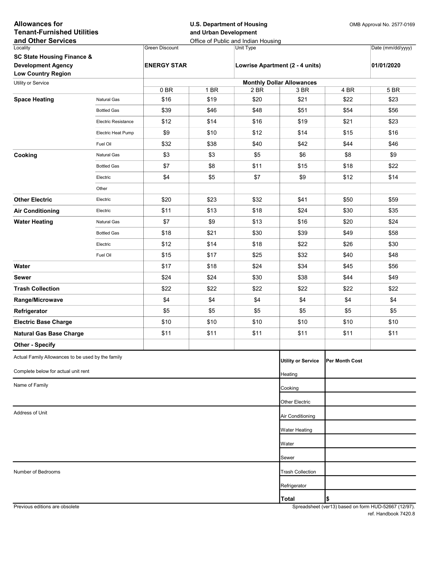| <b>Allowances for</b><br><b>Tenant-Furnished Utilities</b><br>and Other Services |                            |                    | <b>U.S. Department of Housing</b><br>and Urban Development | Office of Public and Indian Housing |                                  | OMB Approval No. 2577-0169 |                   |
|----------------------------------------------------------------------------------|----------------------------|--------------------|------------------------------------------------------------|-------------------------------------|----------------------------------|----------------------------|-------------------|
| Locality                                                                         |                            | Green Discount     |                                                            | Unit Type                           |                                  |                            | Date (mm/dd/yyyy) |
| <b>SC State Housing Finance &amp;</b>                                            |                            |                    |                                                            |                                     |                                  |                            |                   |
| <b>Development Agency</b><br><b>Low Country Region</b>                           |                            | <b>ENERGY STAR</b> |                                                            |                                     | Lowrise Apartment (2 - 4 units)  |                            | 01/01/2020        |
| Utility or Service                                                               |                            |                    |                                                            |                                     | <b>Monthly Dollar Allowances</b> |                            |                   |
|                                                                                  |                            | 0 BR               | 1 BR                                                       | 2 BR                                | 3 BR                             | 4 BR                       | 5 BR              |
| <b>Space Heating</b>                                                             | <b>Natural Gas</b>         | \$16               | \$19                                                       | \$20                                | \$21                             | \$22                       | \$23              |
|                                                                                  | <b>Bottled Gas</b>         | \$39               | \$46                                                       | \$48                                | \$51                             | \$54                       | \$56              |
|                                                                                  | <b>Electric Resistance</b> | \$12               | \$14                                                       | \$16                                | \$19                             | \$21                       | \$23              |
|                                                                                  | Electric Heat Pump         | \$9                | \$10                                                       | \$12                                | \$14                             | \$15                       | \$16              |
|                                                                                  | Fuel Oil                   | \$32               | \$38                                                       | \$40                                | \$42                             | \$44                       | \$46              |
| Cooking                                                                          | Natural Gas                | \$3                | \$3                                                        | \$5                                 | \$6                              | \$8                        | \$9               |
|                                                                                  | <b>Bottled Gas</b>         | \$7                | \$8                                                        | \$11                                | \$15                             | \$18                       | \$22              |
|                                                                                  | Electric                   | \$4                | \$5                                                        | \$7                                 | \$9                              | \$12                       | \$14              |
|                                                                                  | Other                      |                    |                                                            |                                     |                                  |                            |                   |
| <b>Other Electric</b>                                                            | Electric                   | \$20               | \$23                                                       | \$32                                | \$41                             | \$50                       | \$59              |
| <b>Air Conditioning</b>                                                          | Electric                   | \$11               | \$13                                                       | \$18                                | \$24                             | \$30                       | \$35              |
| <b>Water Heating</b>                                                             | <b>Natural Gas</b>         | \$7                | \$9                                                        | \$13                                | \$16                             | \$20                       | \$24              |
|                                                                                  | <b>Bottled Gas</b>         | \$18               | \$21                                                       | \$30                                | \$39                             | \$49                       | \$58              |
|                                                                                  | Electric                   | \$12               | \$14                                                       | \$18                                | \$22                             | \$26                       | \$30              |
|                                                                                  | Fuel Oil                   | \$15               | \$17                                                       | \$25                                | \$32                             | \$40                       | \$48              |
| Water                                                                            |                            | \$17               | \$18                                                       | \$24                                | \$34                             | \$45                       | \$56              |
| Sewer                                                                            |                            | \$24               | \$24                                                       | \$30                                | \$38                             | \$44                       | \$49              |
| <b>Trash Collection</b>                                                          |                            | \$22               | \$22                                                       | \$22                                | \$22                             | \$22                       | \$22              |
| Range/Microwave                                                                  |                            | \$4                | \$4                                                        | \$4                                 | \$4                              | \$4                        | \$4               |
| Refrigerator                                                                     |                            | \$5                | \$5                                                        | \$5                                 | \$5                              | \$5                        | \$5               |
| <b>Electric Base Charge</b>                                                      |                            | \$10               | \$10                                                       | \$10                                | \$10                             | \$10                       | \$10              |
| <b>Natural Gas Base Charge</b>                                                   |                            | \$11               | \$11                                                       | \$11                                | \$11                             | \$11                       | \$11              |
| <b>Other - Specify</b>                                                           |                            |                    |                                                            |                                     |                                  |                            |                   |
| Actual Family Allowances to be used by the family                                |                            |                    |                                                            |                                     | <b>Utility or Service</b>        | <b>Per Month Cost</b>      |                   |
| Complete below for actual unit rent                                              |                            |                    |                                                            |                                     | Heating                          |                            |                   |
| Name of Family                                                                   |                            |                    |                                                            |                                     |                                  |                            |                   |
|                                                                                  |                            |                    |                                                            |                                     | Cooking                          |                            |                   |
|                                                                                  |                            |                    |                                                            |                                     | Other Electric                   |                            |                   |
| Address of Unit                                                                  |                            |                    |                                                            |                                     | Air Conditioning                 |                            |                   |
|                                                                                  |                            |                    |                                                            |                                     | <b>Water Heating</b>             |                            |                   |
|                                                                                  |                            |                    |                                                            |                                     | Water                            |                            |                   |
|                                                                                  |                            |                    |                                                            |                                     | Sewer                            |                            |                   |
| Number of Bedrooms                                                               |                            |                    |                                                            |                                     | <b>Trash Collection</b>          |                            |                   |
|                                                                                  |                            |                    |                                                            |                                     |                                  |                            |                   |
|                                                                                  |                            |                    |                                                            |                                     | Refrigerator                     |                            |                   |
|                                                                                  |                            |                    |                                                            |                                     | <b>Total</b>                     | \$                         |                   |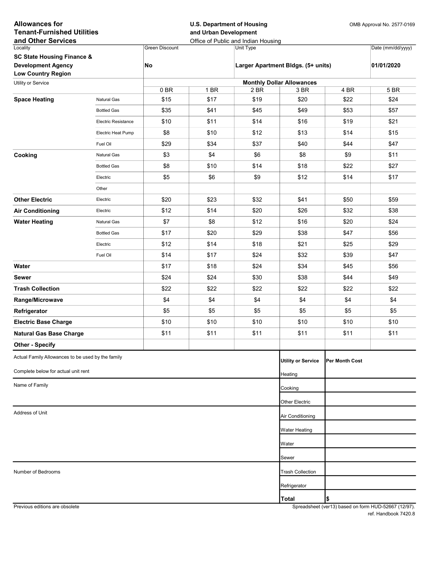| <b>Green Discount</b><br>Date (mm/dd/yyyy)<br>Locality<br>Unit Type<br><b>SC State Housing Finance &amp;</b><br><b>Development Agency</b><br>No<br>Larger Apartment Bldgs. (5+ units)<br>01/01/2020<br><b>Low Country Region</b><br><b>Monthly Dollar Allowances</b><br>Utility or Service<br>1 BR<br>5 BR<br>0 BR<br>2 BR<br>3 BR<br>4 BR<br>\$19<br>\$24<br>\$15<br>\$17<br>\$20<br>\$22<br><b>Space Heating</b><br><b>Natural Gas</b><br>\$35<br>\$41<br>\$45<br>\$49<br>\$53<br>\$57<br><b>Bottled Gas</b><br>\$10<br>\$11<br>\$14<br>\$16<br>\$21<br><b>Electric Resistance</b><br>\$19<br>\$8<br>\$10<br>\$12<br>\$13<br>\$14<br>\$15<br>Electric Heat Pump<br>\$29<br>\$34<br>\$37<br>\$40<br>\$47<br>\$44<br>Fuel Oil<br>\$4<br>\$3<br>\$11<br>Cooking<br>\$6<br>\$8<br>\$9<br>Natural Gas<br>\$8<br>\$14<br>\$18<br>\$10<br>\$22<br>\$27<br><b>Bottled Gas</b><br>\$6<br>\$5<br>\$9<br>\$12<br>\$14<br>\$17<br>Electric<br>Other<br><b>Other Electric</b><br>\$20<br>\$23<br>\$32<br>\$41<br>\$50<br>\$59<br>Electric<br>\$12<br>\$14<br>\$20<br>\$26<br>\$32<br>\$38<br><b>Air Conditioning</b><br>Electric<br>\$8<br>\$7<br>\$12<br>\$16<br>\$20<br>\$24<br><b>Water Heating</b><br>Natural Gas<br>\$17<br>\$20<br>\$29<br>\$38<br>\$56<br><b>Bottled Gas</b><br>\$47<br>\$14<br>\$18<br>\$21<br>\$29<br>Electric<br>\$12<br>\$25<br>Fuel Oil<br>\$14<br>\$17<br>\$24<br>\$32<br>\$39<br>\$47<br>\$18<br>\$24<br>\$34<br>\$56<br>Water<br>\$17<br>\$45<br>\$24<br>\$24<br>\$30<br>\$38<br>\$44<br>\$49<br><b>Sewer</b><br>\$22<br>\$22<br>\$22<br>\$22<br>\$22<br>\$22<br><b>Trash Collection</b><br>\$4<br>\$4<br>\$4<br>\$4<br>\$4<br>\$4<br>Range/Microwave<br>\$5<br>\$5<br>\$5<br>\$5<br>\$5<br>\$5<br>Refrigerator<br>\$10<br>\$10<br>\$10<br>\$10<br>\$10<br>\$10<br><b>Electric Base Charge</b><br>\$11<br>\$11<br>\$11<br>\$11<br>\$11<br>\$11<br><b>Natural Gas Base Charge</b><br><b>Other - Specify</b><br>Actual Family Allowances to be used by the family<br><b>Utility or Service</b><br>Per Month Cost<br>Complete below for actual unit rent<br>Heating<br>Name of Family<br>Cooking<br>Other Electric<br>Address of Unit<br>Air Conditioning<br>Water Heating<br>Water<br>Sewer<br>Number of Bedrooms<br><b>Trash Collection</b><br>Refrigerator<br> \$<br><b>Total</b> | <b>Allowances for</b><br><b>Tenant-Furnished Utilities</b> |  | <b>U.S. Department of Housing</b><br>and Urban Development<br>Office of Public and Indian Housing |  |  |  | OMB Approval No. 2577-0169 |  |
|-------------------------------------------------------------------------------------------------------------------------------------------------------------------------------------------------------------------------------------------------------------------------------------------------------------------------------------------------------------------------------------------------------------------------------------------------------------------------------------------------------------------------------------------------------------------------------------------------------------------------------------------------------------------------------------------------------------------------------------------------------------------------------------------------------------------------------------------------------------------------------------------------------------------------------------------------------------------------------------------------------------------------------------------------------------------------------------------------------------------------------------------------------------------------------------------------------------------------------------------------------------------------------------------------------------------------------------------------------------------------------------------------------------------------------------------------------------------------------------------------------------------------------------------------------------------------------------------------------------------------------------------------------------------------------------------------------------------------------------------------------------------------------------------------------------------------------------------------------------------------------------------------------------------------------------------------------------------------------------------------------------------------------------------------------------------------------------------------------------------------------------------------------------------------------------------------------------------------------------------------------------------------------------------------------|------------------------------------------------------------|--|---------------------------------------------------------------------------------------------------|--|--|--|----------------------------|--|
|                                                                                                                                                                                                                                                                                                                                                                                                                                                                                                                                                                                                                                                                                                                                                                                                                                                                                                                                                                                                                                                                                                                                                                                                                                                                                                                                                                                                                                                                                                                                                                                                                                                                                                                                                                                                                                                                                                                                                                                                                                                                                                                                                                                                                                                                                                       | and Other Services                                         |  |                                                                                                   |  |  |  |                            |  |
|                                                                                                                                                                                                                                                                                                                                                                                                                                                                                                                                                                                                                                                                                                                                                                                                                                                                                                                                                                                                                                                                                                                                                                                                                                                                                                                                                                                                                                                                                                                                                                                                                                                                                                                                                                                                                                                                                                                                                                                                                                                                                                                                                                                                                                                                                                       |                                                            |  |                                                                                                   |  |  |  |                            |  |
|                                                                                                                                                                                                                                                                                                                                                                                                                                                                                                                                                                                                                                                                                                                                                                                                                                                                                                                                                                                                                                                                                                                                                                                                                                                                                                                                                                                                                                                                                                                                                                                                                                                                                                                                                                                                                                                                                                                                                                                                                                                                                                                                                                                                                                                                                                       |                                                            |  |                                                                                                   |  |  |  |                            |  |
|                                                                                                                                                                                                                                                                                                                                                                                                                                                                                                                                                                                                                                                                                                                                                                                                                                                                                                                                                                                                                                                                                                                                                                                                                                                                                                                                                                                                                                                                                                                                                                                                                                                                                                                                                                                                                                                                                                                                                                                                                                                                                                                                                                                                                                                                                                       |                                                            |  |                                                                                                   |  |  |  |                            |  |
|                                                                                                                                                                                                                                                                                                                                                                                                                                                                                                                                                                                                                                                                                                                                                                                                                                                                                                                                                                                                                                                                                                                                                                                                                                                                                                                                                                                                                                                                                                                                                                                                                                                                                                                                                                                                                                                                                                                                                                                                                                                                                                                                                                                                                                                                                                       |                                                            |  |                                                                                                   |  |  |  |                            |  |
|                                                                                                                                                                                                                                                                                                                                                                                                                                                                                                                                                                                                                                                                                                                                                                                                                                                                                                                                                                                                                                                                                                                                                                                                                                                                                                                                                                                                                                                                                                                                                                                                                                                                                                                                                                                                                                                                                                                                                                                                                                                                                                                                                                                                                                                                                                       |                                                            |  |                                                                                                   |  |  |  |                            |  |
|                                                                                                                                                                                                                                                                                                                                                                                                                                                                                                                                                                                                                                                                                                                                                                                                                                                                                                                                                                                                                                                                                                                                                                                                                                                                                                                                                                                                                                                                                                                                                                                                                                                                                                                                                                                                                                                                                                                                                                                                                                                                                                                                                                                                                                                                                                       |                                                            |  |                                                                                                   |  |  |  |                            |  |
|                                                                                                                                                                                                                                                                                                                                                                                                                                                                                                                                                                                                                                                                                                                                                                                                                                                                                                                                                                                                                                                                                                                                                                                                                                                                                                                                                                                                                                                                                                                                                                                                                                                                                                                                                                                                                                                                                                                                                                                                                                                                                                                                                                                                                                                                                                       |                                                            |  |                                                                                                   |  |  |  |                            |  |
|                                                                                                                                                                                                                                                                                                                                                                                                                                                                                                                                                                                                                                                                                                                                                                                                                                                                                                                                                                                                                                                                                                                                                                                                                                                                                                                                                                                                                                                                                                                                                                                                                                                                                                                                                                                                                                                                                                                                                                                                                                                                                                                                                                                                                                                                                                       |                                                            |  |                                                                                                   |  |  |  |                            |  |
|                                                                                                                                                                                                                                                                                                                                                                                                                                                                                                                                                                                                                                                                                                                                                                                                                                                                                                                                                                                                                                                                                                                                                                                                                                                                                                                                                                                                                                                                                                                                                                                                                                                                                                                                                                                                                                                                                                                                                                                                                                                                                                                                                                                                                                                                                                       |                                                            |  |                                                                                                   |  |  |  |                            |  |
|                                                                                                                                                                                                                                                                                                                                                                                                                                                                                                                                                                                                                                                                                                                                                                                                                                                                                                                                                                                                                                                                                                                                                                                                                                                                                                                                                                                                                                                                                                                                                                                                                                                                                                                                                                                                                                                                                                                                                                                                                                                                                                                                                                                                                                                                                                       |                                                            |  |                                                                                                   |  |  |  |                            |  |
|                                                                                                                                                                                                                                                                                                                                                                                                                                                                                                                                                                                                                                                                                                                                                                                                                                                                                                                                                                                                                                                                                                                                                                                                                                                                                                                                                                                                                                                                                                                                                                                                                                                                                                                                                                                                                                                                                                                                                                                                                                                                                                                                                                                                                                                                                                       |                                                            |  |                                                                                                   |  |  |  |                            |  |
|                                                                                                                                                                                                                                                                                                                                                                                                                                                                                                                                                                                                                                                                                                                                                                                                                                                                                                                                                                                                                                                                                                                                                                                                                                                                                                                                                                                                                                                                                                                                                                                                                                                                                                                                                                                                                                                                                                                                                                                                                                                                                                                                                                                                                                                                                                       |                                                            |  |                                                                                                   |  |  |  |                            |  |
|                                                                                                                                                                                                                                                                                                                                                                                                                                                                                                                                                                                                                                                                                                                                                                                                                                                                                                                                                                                                                                                                                                                                                                                                                                                                                                                                                                                                                                                                                                                                                                                                                                                                                                                                                                                                                                                                                                                                                                                                                                                                                                                                                                                                                                                                                                       |                                                            |  |                                                                                                   |  |  |  |                            |  |
|                                                                                                                                                                                                                                                                                                                                                                                                                                                                                                                                                                                                                                                                                                                                                                                                                                                                                                                                                                                                                                                                                                                                                                                                                                                                                                                                                                                                                                                                                                                                                                                                                                                                                                                                                                                                                                                                                                                                                                                                                                                                                                                                                                                                                                                                                                       |                                                            |  |                                                                                                   |  |  |  |                            |  |
|                                                                                                                                                                                                                                                                                                                                                                                                                                                                                                                                                                                                                                                                                                                                                                                                                                                                                                                                                                                                                                                                                                                                                                                                                                                                                                                                                                                                                                                                                                                                                                                                                                                                                                                                                                                                                                                                                                                                                                                                                                                                                                                                                                                                                                                                                                       |                                                            |  |                                                                                                   |  |  |  |                            |  |
|                                                                                                                                                                                                                                                                                                                                                                                                                                                                                                                                                                                                                                                                                                                                                                                                                                                                                                                                                                                                                                                                                                                                                                                                                                                                                                                                                                                                                                                                                                                                                                                                                                                                                                                                                                                                                                                                                                                                                                                                                                                                                                                                                                                                                                                                                                       |                                                            |  |                                                                                                   |  |  |  |                            |  |
|                                                                                                                                                                                                                                                                                                                                                                                                                                                                                                                                                                                                                                                                                                                                                                                                                                                                                                                                                                                                                                                                                                                                                                                                                                                                                                                                                                                                                                                                                                                                                                                                                                                                                                                                                                                                                                                                                                                                                                                                                                                                                                                                                                                                                                                                                                       |                                                            |  |                                                                                                   |  |  |  |                            |  |
|                                                                                                                                                                                                                                                                                                                                                                                                                                                                                                                                                                                                                                                                                                                                                                                                                                                                                                                                                                                                                                                                                                                                                                                                                                                                                                                                                                                                                                                                                                                                                                                                                                                                                                                                                                                                                                                                                                                                                                                                                                                                                                                                                                                                                                                                                                       |                                                            |  |                                                                                                   |  |  |  |                            |  |
|                                                                                                                                                                                                                                                                                                                                                                                                                                                                                                                                                                                                                                                                                                                                                                                                                                                                                                                                                                                                                                                                                                                                                                                                                                                                                                                                                                                                                                                                                                                                                                                                                                                                                                                                                                                                                                                                                                                                                                                                                                                                                                                                                                                                                                                                                                       |                                                            |  |                                                                                                   |  |  |  |                            |  |
|                                                                                                                                                                                                                                                                                                                                                                                                                                                                                                                                                                                                                                                                                                                                                                                                                                                                                                                                                                                                                                                                                                                                                                                                                                                                                                                                                                                                                                                                                                                                                                                                                                                                                                                                                                                                                                                                                                                                                                                                                                                                                                                                                                                                                                                                                                       |                                                            |  |                                                                                                   |  |  |  |                            |  |
|                                                                                                                                                                                                                                                                                                                                                                                                                                                                                                                                                                                                                                                                                                                                                                                                                                                                                                                                                                                                                                                                                                                                                                                                                                                                                                                                                                                                                                                                                                                                                                                                                                                                                                                                                                                                                                                                                                                                                                                                                                                                                                                                                                                                                                                                                                       |                                                            |  |                                                                                                   |  |  |  |                            |  |
|                                                                                                                                                                                                                                                                                                                                                                                                                                                                                                                                                                                                                                                                                                                                                                                                                                                                                                                                                                                                                                                                                                                                                                                                                                                                                                                                                                                                                                                                                                                                                                                                                                                                                                                                                                                                                                                                                                                                                                                                                                                                                                                                                                                                                                                                                                       |                                                            |  |                                                                                                   |  |  |  |                            |  |
|                                                                                                                                                                                                                                                                                                                                                                                                                                                                                                                                                                                                                                                                                                                                                                                                                                                                                                                                                                                                                                                                                                                                                                                                                                                                                                                                                                                                                                                                                                                                                                                                                                                                                                                                                                                                                                                                                                                                                                                                                                                                                                                                                                                                                                                                                                       |                                                            |  |                                                                                                   |  |  |  |                            |  |
|                                                                                                                                                                                                                                                                                                                                                                                                                                                                                                                                                                                                                                                                                                                                                                                                                                                                                                                                                                                                                                                                                                                                                                                                                                                                                                                                                                                                                                                                                                                                                                                                                                                                                                                                                                                                                                                                                                                                                                                                                                                                                                                                                                                                                                                                                                       |                                                            |  |                                                                                                   |  |  |  |                            |  |
|                                                                                                                                                                                                                                                                                                                                                                                                                                                                                                                                                                                                                                                                                                                                                                                                                                                                                                                                                                                                                                                                                                                                                                                                                                                                                                                                                                                                                                                                                                                                                                                                                                                                                                                                                                                                                                                                                                                                                                                                                                                                                                                                                                                                                                                                                                       |                                                            |  |                                                                                                   |  |  |  |                            |  |
|                                                                                                                                                                                                                                                                                                                                                                                                                                                                                                                                                                                                                                                                                                                                                                                                                                                                                                                                                                                                                                                                                                                                                                                                                                                                                                                                                                                                                                                                                                                                                                                                                                                                                                                                                                                                                                                                                                                                                                                                                                                                                                                                                                                                                                                                                                       |                                                            |  |                                                                                                   |  |  |  |                            |  |
|                                                                                                                                                                                                                                                                                                                                                                                                                                                                                                                                                                                                                                                                                                                                                                                                                                                                                                                                                                                                                                                                                                                                                                                                                                                                                                                                                                                                                                                                                                                                                                                                                                                                                                                                                                                                                                                                                                                                                                                                                                                                                                                                                                                                                                                                                                       |                                                            |  |                                                                                                   |  |  |  |                            |  |
|                                                                                                                                                                                                                                                                                                                                                                                                                                                                                                                                                                                                                                                                                                                                                                                                                                                                                                                                                                                                                                                                                                                                                                                                                                                                                                                                                                                                                                                                                                                                                                                                                                                                                                                                                                                                                                                                                                                                                                                                                                                                                                                                                                                                                                                                                                       |                                                            |  |                                                                                                   |  |  |  |                            |  |
|                                                                                                                                                                                                                                                                                                                                                                                                                                                                                                                                                                                                                                                                                                                                                                                                                                                                                                                                                                                                                                                                                                                                                                                                                                                                                                                                                                                                                                                                                                                                                                                                                                                                                                                                                                                                                                                                                                                                                                                                                                                                                                                                                                                                                                                                                                       |                                                            |  |                                                                                                   |  |  |  |                            |  |
|                                                                                                                                                                                                                                                                                                                                                                                                                                                                                                                                                                                                                                                                                                                                                                                                                                                                                                                                                                                                                                                                                                                                                                                                                                                                                                                                                                                                                                                                                                                                                                                                                                                                                                                                                                                                                                                                                                                                                                                                                                                                                                                                                                                                                                                                                                       |                                                            |  |                                                                                                   |  |  |  |                            |  |
|                                                                                                                                                                                                                                                                                                                                                                                                                                                                                                                                                                                                                                                                                                                                                                                                                                                                                                                                                                                                                                                                                                                                                                                                                                                                                                                                                                                                                                                                                                                                                                                                                                                                                                                                                                                                                                                                                                                                                                                                                                                                                                                                                                                                                                                                                                       |                                                            |  |                                                                                                   |  |  |  |                            |  |
|                                                                                                                                                                                                                                                                                                                                                                                                                                                                                                                                                                                                                                                                                                                                                                                                                                                                                                                                                                                                                                                                                                                                                                                                                                                                                                                                                                                                                                                                                                                                                                                                                                                                                                                                                                                                                                                                                                                                                                                                                                                                                                                                                                                                                                                                                                       |                                                            |  |                                                                                                   |  |  |  |                            |  |
|                                                                                                                                                                                                                                                                                                                                                                                                                                                                                                                                                                                                                                                                                                                                                                                                                                                                                                                                                                                                                                                                                                                                                                                                                                                                                                                                                                                                                                                                                                                                                                                                                                                                                                                                                                                                                                                                                                                                                                                                                                                                                                                                                                                                                                                                                                       |                                                            |  |                                                                                                   |  |  |  |                            |  |
|                                                                                                                                                                                                                                                                                                                                                                                                                                                                                                                                                                                                                                                                                                                                                                                                                                                                                                                                                                                                                                                                                                                                                                                                                                                                                                                                                                                                                                                                                                                                                                                                                                                                                                                                                                                                                                                                                                                                                                                                                                                                                                                                                                                                                                                                                                       |                                                            |  |                                                                                                   |  |  |  |                            |  |
|                                                                                                                                                                                                                                                                                                                                                                                                                                                                                                                                                                                                                                                                                                                                                                                                                                                                                                                                                                                                                                                                                                                                                                                                                                                                                                                                                                                                                                                                                                                                                                                                                                                                                                                                                                                                                                                                                                                                                                                                                                                                                                                                                                                                                                                                                                       |                                                            |  |                                                                                                   |  |  |  |                            |  |
|                                                                                                                                                                                                                                                                                                                                                                                                                                                                                                                                                                                                                                                                                                                                                                                                                                                                                                                                                                                                                                                                                                                                                                                                                                                                                                                                                                                                                                                                                                                                                                                                                                                                                                                                                                                                                                                                                                                                                                                                                                                                                                                                                                                                                                                                                                       |                                                            |  |                                                                                                   |  |  |  |                            |  |
|                                                                                                                                                                                                                                                                                                                                                                                                                                                                                                                                                                                                                                                                                                                                                                                                                                                                                                                                                                                                                                                                                                                                                                                                                                                                                                                                                                                                                                                                                                                                                                                                                                                                                                                                                                                                                                                                                                                                                                                                                                                                                                                                                                                                                                                                                                       |                                                            |  |                                                                                                   |  |  |  |                            |  |
|                                                                                                                                                                                                                                                                                                                                                                                                                                                                                                                                                                                                                                                                                                                                                                                                                                                                                                                                                                                                                                                                                                                                                                                                                                                                                                                                                                                                                                                                                                                                                                                                                                                                                                                                                                                                                                                                                                                                                                                                                                                                                                                                                                                                                                                                                                       |                                                            |  |                                                                                                   |  |  |  |                            |  |
|                                                                                                                                                                                                                                                                                                                                                                                                                                                                                                                                                                                                                                                                                                                                                                                                                                                                                                                                                                                                                                                                                                                                                                                                                                                                                                                                                                                                                                                                                                                                                                                                                                                                                                                                                                                                                                                                                                                                                                                                                                                                                                                                                                                                                                                                                                       |                                                            |  |                                                                                                   |  |  |  |                            |  |
|                                                                                                                                                                                                                                                                                                                                                                                                                                                                                                                                                                                                                                                                                                                                                                                                                                                                                                                                                                                                                                                                                                                                                                                                                                                                                                                                                                                                                                                                                                                                                                                                                                                                                                                                                                                                                                                                                                                                                                                                                                                                                                                                                                                                                                                                                                       |                                                            |  |                                                                                                   |  |  |  |                            |  |

Previous editions are obsolete